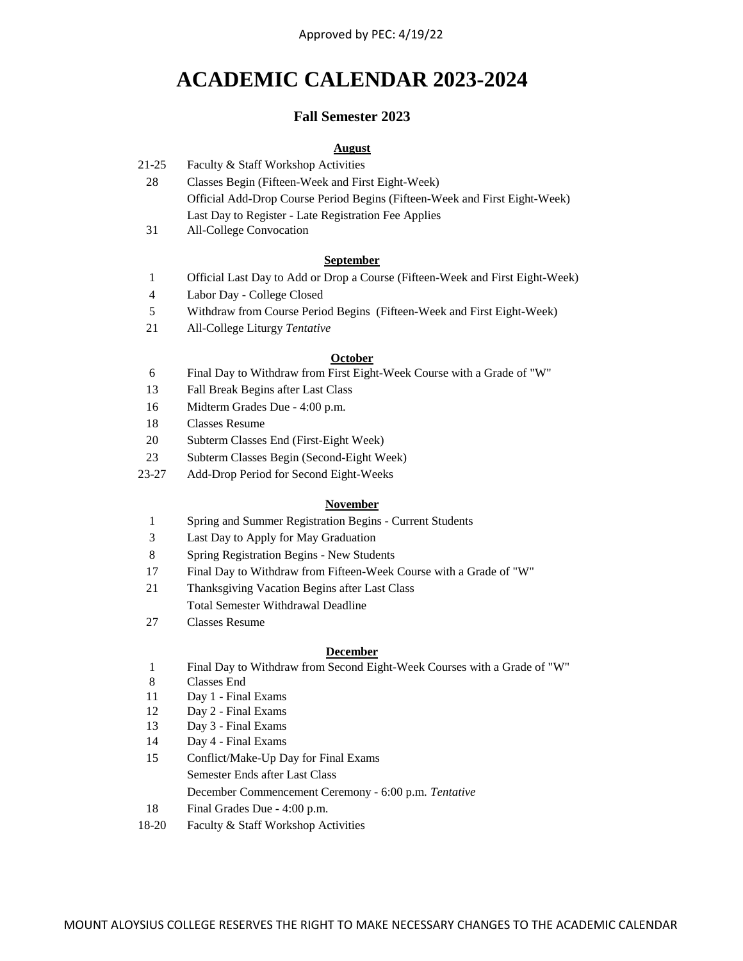# **ACADEMIC CALENDAR 2023-2024**

# **Fall Semester 2023**

# **August**

- 21-25 Faculty & Staff Workshop Activities
	- 28 Official Add-Drop Course Period Begins (Fifteen-Week and First Eight-Week) Last Day to Register - Late Registration Fee Applies Classes Begin (Fifteen-Week and First Eight-Week)
	- 31 All-College Convocation

## **September**

- 1 Official Last Day to Add or Drop a Course (Fifteen-Week and First Eight-Week)
- 4 Labor Day - College Closed
- 5 Withdraw from Course Period Begins (Fifteen-Week and First Eight-Week)
- 21 All-College Liturgy *Tentative*

### **October**

- 6 Final Day to Withdraw from First Eight-Week Course with a Grade of "W"
- 13 Fall Break Begins after Last Class
- 16 Midterm Grades Due 4:00 p.m.
- 18 Classes Resume
- 20 Subterm Classes End (First-Eight Week)
- 23 Subterm Classes Begin (Second-Eight Week)
- 23-27 Add-Drop Period for Second Eight-Weeks

### **November**

- 1 Spring and Summer Registration Begins Current Students
- 3 Last Day to Apply for May Graduation
- 8 Spring Registration Begins New Students
- 17 Final Day to Withdraw from Fifteen-Week Course with a Grade of "W"
- 21 Thanksgiving Vacation Begins after Last Class Total Semester Withdrawal Deadline
- 27 Classes Resume

### **December**

- 1 Final Day to Withdraw from Second Eight-Week Courses with a Grade of "W"
- 8 Classes End
- 11 Day 1 Final Exams
- 12 Day 2 Final Exams
- 13 Day 3 Final Exams
- 14 Day 4 Final Exams
- 15 Conflict/Make-Up Day for Final Exams Semester Ends after Last Class December Commencement Ceremony - 6:00 p.m. *Tentative*
- 18 Final Grades Due 4:00 p.m.
- 18-20 Faculty & Staff Workshop Activities